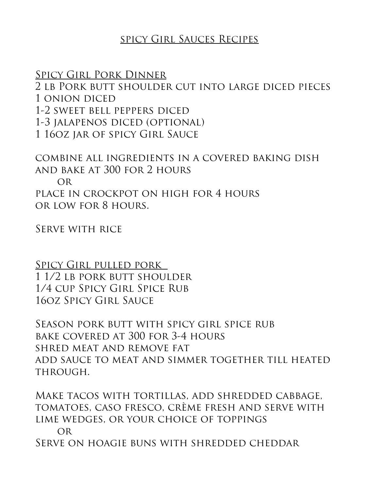## spicy Girl Sauces Recipes

Spicy Girl Pork Dinner

2 lb Pork butt shoulder cut into large diced pieces 1 onion diced 1-2 sweet bell peppers diced 1-3 jalapenos diced (optional) 1 16oz jar of spicy Girl Sauce

combine all ingredients in a covered baking dish and bake at 300 for 2 hours or place in crockpot on high for 4 hours or low for 8 hours.

Serve with rice

Spicy Girl pulled pork 1 1/2 lb pork butt shoulder 1/4 cup Spicy Girl Spice Rub 16oz Spicy Girl Sauce

Season pork butt with spicy girl spice rub bake covered at 300 for 3-4 hours shred meat and remove fat add sauce to meat and simmer together till heated THROUGH.

Make tacos with tortillas, add shredded cabbage, tomatoes, caso fresco, crème fresh and serve with lime wedges, or your choice of toppings or Serve on hoagie buns with shredded cheddar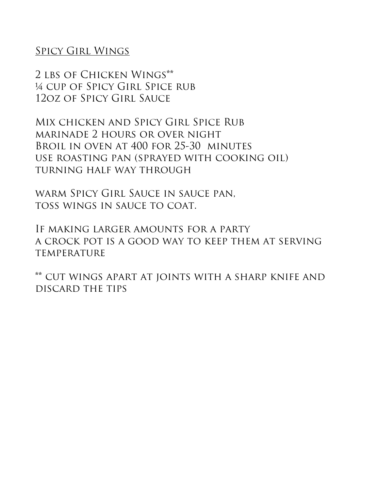Spicy Girl Wings

2 lbs of Chicken Wings\*\* ¼ cup of Spicy Girl Spice rub 12oz of Spicy Girl Sauce

Mix chicken and Spicy Girl Spice Rub marinade 2 hours or over night Broil in oven at 400 for 25-30 minutes use roasting pan (sprayed with cooking oil) turning half way through

warm Spicy Girl Sauce in sauce pan, toss wings in sauce to coat.

If making larger amounts for a party a crock pot is a good way to keep them at serving **TEMPERATURE** 

\*\* cut wings apart at joints with a sharp knife and discard the tips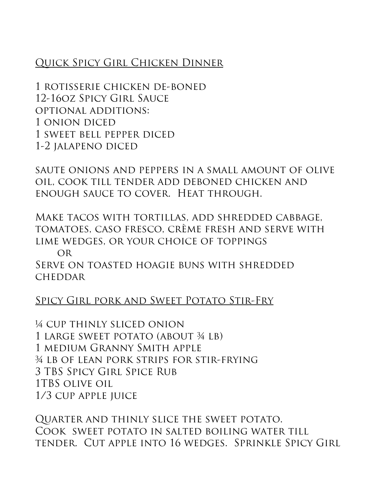## Quick Spicy Girl Chicken Dinner

1 rotisserie chicken de-boned 12-16oz Spicy Girl Sauce optional additions: 1 onion diced 1 sweet bell pepper diced 1-2 jalapeno diced

saute onions and peppers in a small amount of olive oil, cook till tender add deboned chicken and enough sauce to cover. Heat through.

Make tacos with tortillas, add shredded cabbage, tomatoes, caso fresco, crème fresh and serve with lime wedges, or your choice of toppings or

Serve on toasted hoagie buns with shredded **CHEDDAR** 

## Spicy Girl pork and Sweet Potato Stir-Fry

¼ cup thinly sliced onion 1 large sweet potato (about ¾ lb) 1 medium Granny Smith apple ¾ lb of lean pork strips for stir-frying 3 TBS Spicy Girl Spice Rub 1TBS olive oil 1/3 cup apple juice

Quarter and thinly slice the sweet potato. Cook sweet potato in salted boiling water till tender. Cut apple into 16 wedges. Sprinkle Spicy Girl